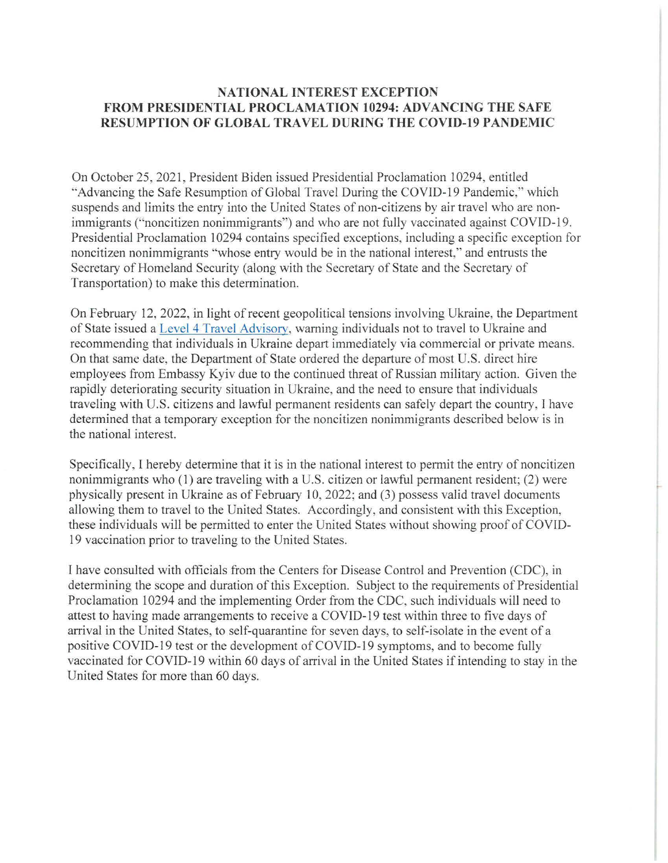## **NATIONAL INTEREST EXCEPTION FROM PRESIDENTIAL PROCLAMATION 10294: ADVANCING THE SAFE RESUMPTION OF GLOBAL TRAVEL DURING THE COVID-19 PANDEMIC**

On October 25, 2021, President Biden issued Presidential Proclamation 10294, entitled "Advancing the Safe Resumption of Global Travel During the COVID-19 Pandemic," which suspends and limits the entry into the United States of non-citizens by air travel who are nonimmigrants ("noncitizen nonimmigrants") and who are not fully vaccinated against COVID-19. Presidential Proclamation 10294 contains specified exceptions, including a specific exception for noncitizen nonimmigrants "whose entry would be in the national interest," and entrusts the Secretary of Homeland Security (along with the Secretary of State and the Secretary of Transportation) to make this determination.

On February 12, 2022, in light of recent geopolitical tensions involving Ukraine, the Department of State issued a Level 4 Travel Advisory, warning individuals not to travel to Ukraine and recommending that individuals in Ukraine depart immediately via commercial or private means. On that same date, the Department of State ordered the departure of most U.S. direct hire employees from Embassy Kyiv due to the continued threat of Russian military action. Given the rapidly deteriorating security situation in Ukraine, and the need to ensure that individuals traveling with U.S. citizens and lawful permanent residents can safely depart the country, I have determined that a temporary exception for the noncitizen nonimmigrants described below is in the national interest.

Specifically, I hereby determine that it is in the national interest to permit the entry of noncitizen nonimmigrants who  $(1)$  are traveling with a U.S. citizen or lawful permanent resident;  $(2)$  were physically present in Ukraine as of February 10, 2022; and (3) possess valid travel documents allowing them to travel to the United States. Accordingly, and consistent with this Exception, these individuals will be permitted to enter the United States without showing proof of COVID-19 vaccination prior to traveling to the United States.

I have consulted with officials from the Centers for Disease Control and Prevention (CDC), in determining the scope and duration of this Exception. Subject to the requirements of Presidential Proclamation 10294 and the implementing Order from the CDC, such individuals will need to attest to having made arrangements to receive a COVID-19 test within three to five days of arrival in the United States, to self-quarantine for seven days, to self-isolate in the event of a positive COVID-19 test or the development of COVID-19 symptoms, and to become fully vaccinated for COVID-19 within 60 days of arrival in the United States if intending to stay in the United States for more than 60 days.